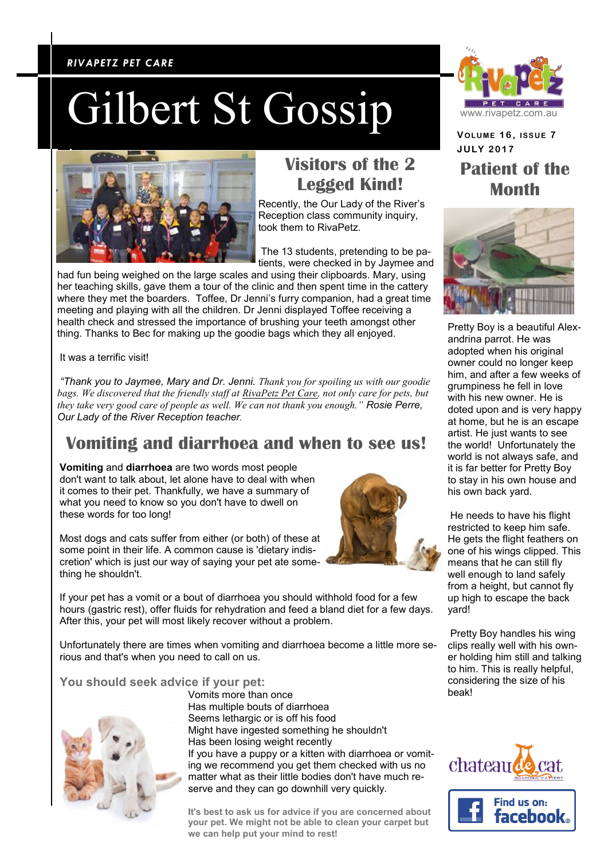#### *RIVAPETZ PET CARE RIVAPETZ PET CARE*

## Gilbert St Gossip



## **Visitors of the 2 Legged Kind!**

Recently, the Our Lady of the River's Reception class community inquiry, took them to RivaPetz.

The 13 students, pretending to be patients, were checked in by Jaymee and

had fun being weighed on the large scales and using their clipboards. Mary, using her teaching skills, gave them a tour of the clinic and then spent time in the cattery where they met the boarders. Toffee, Dr Jenni's furry companion, had a great time meeting and playing with all the children. Dr Jenni displayed Toffee receiving a health check and stressed the importance of brushing your teeth amongst other thing. Thanks to Bec for making up the goodie bags which they all enjoyed.

It was a terrific visit!

*"Thank you to Jaymee, Mary and Dr. Jenni. Thank you for spoiling us with our goodie bags. We discovered that the friendly staff at [RivaPetz Pet Care,](https://www.facebook.com/RivaPetz-Pet-Care-303513253089422/?fref=mentions) not only care for pets, but they take very good care of people as well. We can not thank you enough." Rosie Perre, Our Lady of the River Reception teacher.*

### **Vomiting and diarrhoea and when to see us!**

**Vomiting** and **diarrhoea** are two words most people don't want to talk about, let alone have to deal with when it comes to their pet. Thankfully, we have a summary of what you need to know so you don't have to dwell on these words for too long!

Most dogs and cats suffer from either (or both) of these at some point in their life. A common cause is 'dietary indiscretion' which is just our way of saying your pet ate something he shouldn't.



If your pet has a vomit or a bout of diarrhoea you should withhold food for a few hours (gastric rest), offer fluids for rehydration and feed a bland diet for a few days. After this, your pet will most likely recover without a problem.

Unfortunately there are times when vomiting and diarrhoea become a little more serious and that's when you need to call on us.

#### **You should seek advice if your pet:**



Vomits more than once Has multiple bouts of diarrhoea Seems lethargic or is off his food Might have ingested something he shouldn't Has been losing weight recently If you have a puppy or a kitten with diarrhoea or vomiting we recommend you get them checked with us no matter what as their little bodies don't have much reserve and they can go downhill very quickly.

**It's best to ask us for advice if you are concerned about your pet. We might not be able to clean your carpet but we can help put your mind to rest!**



**VOLUME 1 6 , ISSUE 7 JULY 2 0 1 7 Patient of the Month**



Pretty Boy is a beautiful Alexandrina parrot. He was adopted when his original owner could no longer keep him, and after a few weeks of grumpiness he fell in love with his new owner. He is doted upon and is very happy at home, but he is an escape artist. He just wants to see the world! Unfortunately the world is not always safe, and it is far better for Pretty Boy to stay in his own house and his own back yard.

He needs to have his flight restricted to keep him safe. He gets the flight feathers on one of his wings clipped. This means that he can still fly well enough to land safely from a height, but cannot fly up high to escape the back yard!

Pretty Boy handles his wing clips really well with his owner holding him still and talking to him. This is really helpful, considering the size of his beak!